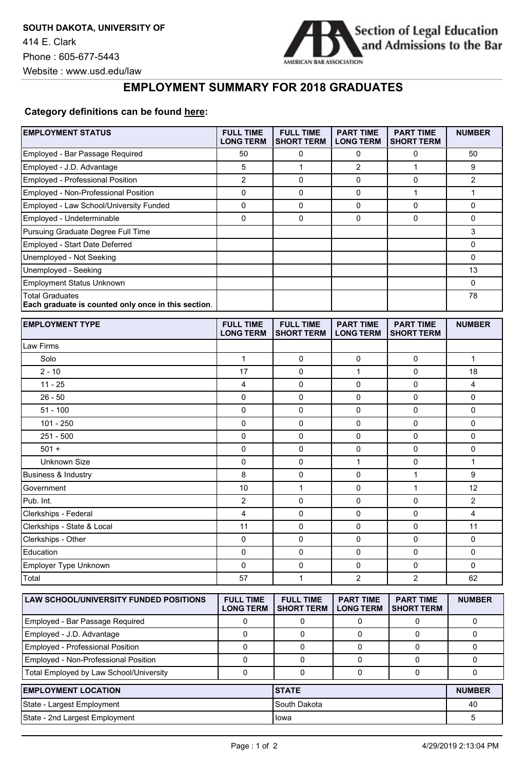**EMPLOYMENT STATUS** 



## **EMPLOYMENT SUMMARY FOR 2018 GRADUATES**

## **Category definitions can be found [here:](https://www.americanbar.org/content/dam/aba/administrative/legal_education_and_admissions_to_the_bar/2019-aba-employment-protocols-final-class-of-2018.pdf)**

| <b>EMPLOYMENT STATUS</b>                                                      | <b>FULL TIME</b><br><b>LONG TERM</b> | <b>FULL TIME</b><br><b>SHORT TERM</b> | <b>PART TIME</b><br><b>LONG TERM</b> | <b>PART TIME</b><br><b>SHORT TERM</b> | <b>NUMBER</b> |
|-------------------------------------------------------------------------------|--------------------------------------|---------------------------------------|--------------------------------------|---------------------------------------|---------------|
| Employed - Bar Passage Required                                               | 50                                   | 0                                     | 0                                    | 0                                     | 50            |
| Employed - J.D. Advantage                                                     | 5                                    | $\mathbf{1}$                          | 2                                    | $\mathbf{1}$                          | 9             |
| Employed - Professional Position                                              | $\overline{c}$                       | $\mathbf 0$                           | 0                                    | 0                                     | 2             |
| Employed - Non-Professional Position                                          | 0                                    | $\mathbf 0$                           | 0                                    | 1                                     | $\mathbf{1}$  |
| Employed - Law School/University Funded                                       | 0                                    | $\mathbf 0$                           | 0                                    | 0                                     | 0             |
| Employed - Undeterminable                                                     | 0                                    | $\mathbf 0$                           | 0                                    | 0                                     | 0             |
| Pursuing Graduate Degree Full Time                                            |                                      |                                       |                                      |                                       | 3             |
| Employed - Start Date Deferred                                                |                                      |                                       |                                      |                                       | 0             |
| Unemployed - Not Seeking                                                      |                                      |                                       |                                      |                                       | 0             |
| Unemployed - Seeking                                                          |                                      |                                       |                                      |                                       | 13            |
| <b>Employment Status Unknown</b>                                              |                                      |                                       |                                      |                                       | 0             |
| <b>Total Graduates</b><br>Each graduate is counted only once in this section. |                                      |                                       |                                      |                                       | 78            |
| <b>EMPLOYMENT TYPE</b>                                                        | <b>FULL TIME</b><br><b>LONG TERM</b> | <b>FULL TIME</b><br><b>SHORT TERM</b> | <b>PART TIME</b><br><b>LONG TERM</b> | <b>PART TIME</b><br><b>SHORT TERM</b> | <b>NUMBER</b> |
| Law Firms                                                                     |                                      |                                       |                                      |                                       |               |
| Solo                                                                          | 1                                    | 0                                     | 0                                    | 0                                     | $\mathbf{1}$  |
| $2 - 10$                                                                      | 17                                   | $\mathbf 0$                           | $\mathbf{1}$                         | 0                                     | 18            |
| $11 - 25$                                                                     | 4                                    | $\mathbf 0$                           | 0                                    | 0                                     | 4             |
| $26 - 50$                                                                     | 0                                    | $\mathbf 0$                           | 0                                    | 0                                     | 0             |
| $51 - 100$                                                                    | 0                                    | $\mathbf 0$                           | 0                                    | $\pmb{0}$                             | 0             |
| $101 - 250$                                                                   | 0                                    | $\mathbf 0$                           | 0                                    | 0                                     | 0             |
| 251 - 500                                                                     | 0                                    | $\mathbf 0$                           | 0                                    | 0                                     | 0             |
| $501 +$                                                                       | 0                                    | $\mathbf 0$                           | 0                                    | $\mathbf 0$                           | 0             |
| <b>Unknown Size</b>                                                           | 0                                    | $\mathbf 0$                           | $\mathbf{1}$                         | 0                                     | $\mathbf{1}$  |
| <b>Business &amp; Industry</b>                                                | 8                                    | $\mathbf 0$                           | 0                                    | $\mathbf{1}$                          | 9             |
| Government                                                                    | 10                                   | $\mathbf{1}$                          | 0                                    | 1                                     | 12            |
| Pub. Int.                                                                     | 2                                    | $\mathbf 0$                           | 0                                    | 0                                     | 2             |
| Clerkships - Federal                                                          | 4                                    | $\mathbf 0$                           | 0                                    | 0                                     | 4             |
| Clerkships - State & Local                                                    | 11                                   | 0                                     | 0                                    | $\mathbf 0$                           | 11            |
| Clerkships - Other                                                            | 0                                    | 0                                     | 0                                    | $\mathbf 0$                           | 0             |
| Education                                                                     | 0                                    | 0                                     | 0                                    | 0                                     | 0             |
| Employer Type Unknown                                                         | 0                                    | 0                                     | 0                                    | 0                                     | 0             |
| Total                                                                         | 57                                   | 1                                     | 2                                    | $\overline{2}$                        | 62            |
| LAW SCHOOL/UNIVERSITY FUNDED POSITIONS                                        | <b>FULL TIME</b><br><b>LONG TERM</b> | <b>FULL TIME</b><br><b>SHORT TERM</b> | <b>PART TIME</b><br><b>LONG TERM</b> | <b>PART TIME</b><br><b>SHORT TERM</b> | <b>NUMBER</b> |
| Employed - Bar Passage Required                                               | 0                                    | 0                                     | 0                                    | 0                                     | 0             |
| Employed - J.D. Advantage                                                     | 0                                    | 0                                     | 0                                    | 0                                     | 0             |
| Employed - Professional Position                                              | 0                                    | 0                                     | 0                                    | 0                                     | 0             |
| Employed - Non-Professional Position                                          | 0                                    | 0                                     | 0                                    | 0                                     | 0             |
| Total Employed by Law School/University                                       | $\mathbf 0$                          | 0                                     | 0                                    | $\mathbf 0$                           | 0             |
| <b>EMPLOYMENT LOCATION</b>                                                    |                                      | <b>STATE</b>                          |                                      |                                       | <b>NUMBER</b> |
| State - Largest Employment                                                    |                                      | South Dakota                          |                                      |                                       | 40            |
| State - 2nd Largest Employment                                                |                                      | lowa                                  |                                      |                                       | 5             |